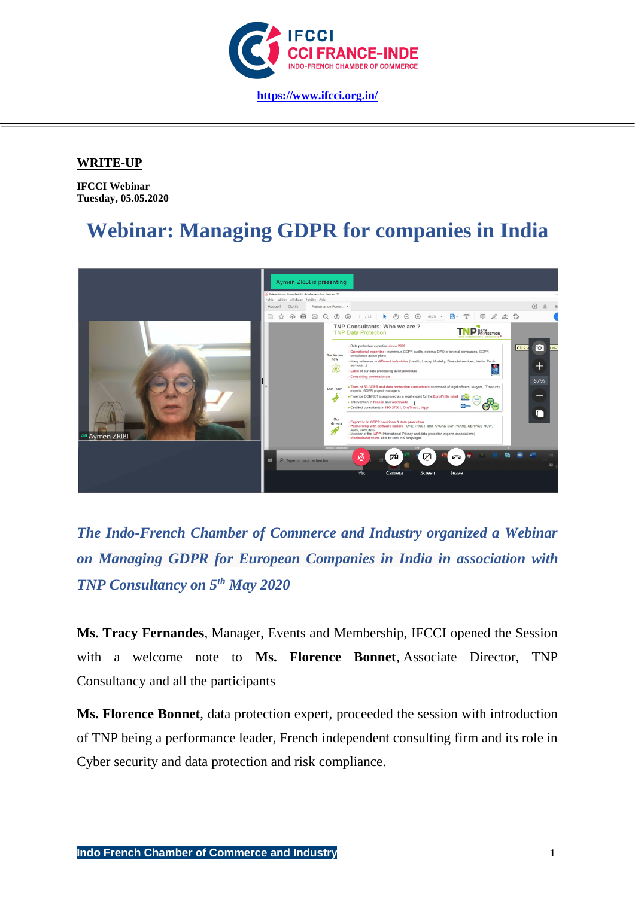

## **WRITE-UP**

**IFCCI Webinar Tuesday, 05.05.2020**

## **Webinar: Managing GDPR for companies in India**



*The Indo-French Chamber of Commerce and Industry organized a Webinar on Managing GDPR for European Companies in India in association with TNP Consultancy on 5th May 2020*

**Ms. Tracy Fernandes**, Manager, Events and Membership, IFCCI opened the Session with a welcome note to **Ms. Florence Bonnet**, Associate Director, TNP Consultancy and all the participants

**Ms. Florence Bonnet**, data protection expert, proceeded the session with introduction of TNP being a performance leader, French independent consulting firm and its role in Cyber security and data protection and risk compliance.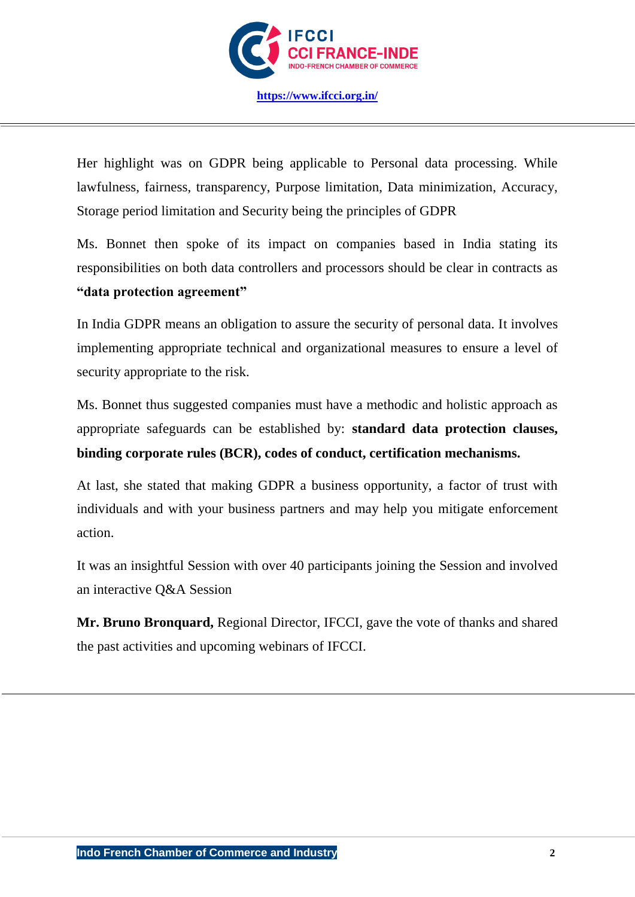

**<https://www.ifcci.org.in/>**

Her highlight was on GDPR being applicable to Personal data processing. While lawfulness, fairness, transparency, Purpose limitation, Data minimization, Accuracy, Storage period limitation and Security being the principles of GDPR

Ms. Bonnet then spoke of its impact on companies based in India stating its responsibilities on both data controllers and processors should be clear in contracts as **"data protection agreement"**

In India GDPR means an obligation to assure the security of personal data. It involves implementing appropriate technical and organizational measures to ensure a level of security appropriate to the risk.

Ms. Bonnet thus suggested companies must have a methodic and holistic approach as appropriate safeguards can be established by: **standard data protection clauses, binding corporate rules (BCR), codes of conduct, certification mechanisms.**

At last, she stated that making GDPR a business opportunity, a factor of trust with individuals and with your business partners and may help you mitigate enforcement action.

It was an insightful Session with over 40 participants joining the Session and involved an interactive Q&A Session

**Mr. Bruno Bronquard,** Regional Director, IFCCI, gave the vote of thanks and shared the past activities and upcoming webinars of IFCCI.